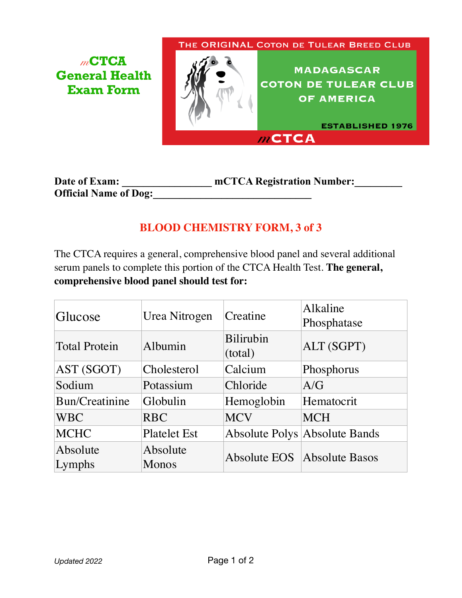*m***CTCA General Health Exam Form**

THE ORIGINAL COTON DE TULEAR BREED CLUB

**MADAGASCAR COTON DE TULEAR CLUB** OF AMERICA

**ESTABLISHED 1976**  $m$ CTCA

| Date of Exam:                | mCTCA Registration Number: |
|------------------------------|----------------------------|
| <b>Official Name of Dog:</b> |                            |

## **BLOOD CHEMISTRY FORM, 3 of 3**

The CTCA requires a general, comprehensive blood panel and several additional serum panels to complete this portion of the CTCA Health Test. **The general, comprehensive blood panel should test for:**

| Glucose              | Urea Nitrogen            | Creatine                    | Alkaline<br>Phosphatase              |
|----------------------|--------------------------|-----------------------------|--------------------------------------|
| <b>Total Protein</b> | Albumin                  | <b>Bilirubin</b><br>(total) | ALT (SGPT)                           |
| AST (SGOT)           | Cholesterol              | Calcium                     | Phosphorus                           |
| Sodium               | Potassium                | Chloride                    | A/G                                  |
| Bun/Creatinine       | Globulin                 | Hemoglobin                  | Hematocrit                           |
| <b>WBC</b>           | <b>RBC</b>               | <b>MCV</b>                  | <b>MCH</b>                           |
| <b>MCHC</b>          | <b>Platelet Est</b>      |                             | <b>Absolute Polys Absolute Bands</b> |
| Absolute<br>Lymphs   | Absolute<br><b>Monos</b> |                             | Absolute EOS Absolute Basos          |